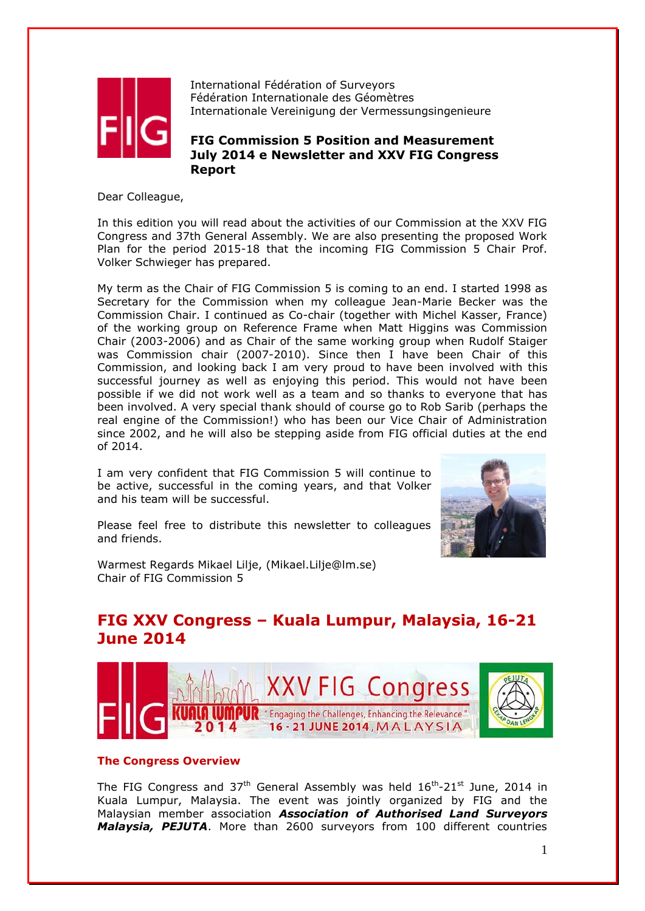

International Fédération of Surveyors Fédération Internationale des Géomètres Internationale Vereinigung der Vermessungsingenieure

## **FIG Commission 5 Position and Measurement July 2014 e Newsletter and XXV FIG Congress Report**

Dear Colleague,

In this edition you will read about the activities of our Commission at the XXV FIG Congress and 37th General Assembly. We are also presenting the proposed Work Plan for the period 2015-18 that the incoming FIG Commission 5 Chair Prof. Volker Schwieger has prepared.

My term as the Chair of FIG Commission 5 is coming to an end. I started 1998 as Secretary for the Commission when my colleague Jean-Marie Becker was the Commission Chair. I continued as Co-chair (together with Michel Kasser, France) of the working group on Reference Frame when Matt Higgins was Commission Chair (2003-2006) and as Chair of the same working group when Rudolf Staiger was Commission chair (2007-2010). Since then I have been Chair of this Commission, and looking back I am very proud to have been involved with this successful journey as well as enjoying this period. This would not have been possible if we did not work well as a team and so thanks to everyone that has been involved. A very special thank should of course go to Rob Sarib (perhaps the real engine of the Commission!) who has been our Vice Chair of Administration since 2002, and he will also be stepping aside from FIG official duties at the end of 2014.

I am very confident that FIG Commission 5 will continue to be active, successful in the coming years, and that Volker and his team will be successful.

Please feel free to distribute this newsletter to colleagues and friends.



Warmest Regards Mikael Lilje, (Mikael.Lilje@lm.se) Chair of FIG Commission 5

# **FIG XXV Congress – Kuala Lumpur, Malaysia, 16-21 June 2014**



## **The Congress Overview**

The FIG Congress and 37<sup>th</sup> General Assembly was held  $16^{th}$ -21<sup>st</sup> June, 2014 in Kuala Lumpur, Malaysia. The event was jointly organized by FIG and the Malaysian member association *Association of Authorised Land Surveyors Malaysia, PEJUTA*. More than 2600 surveyors from 100 different countries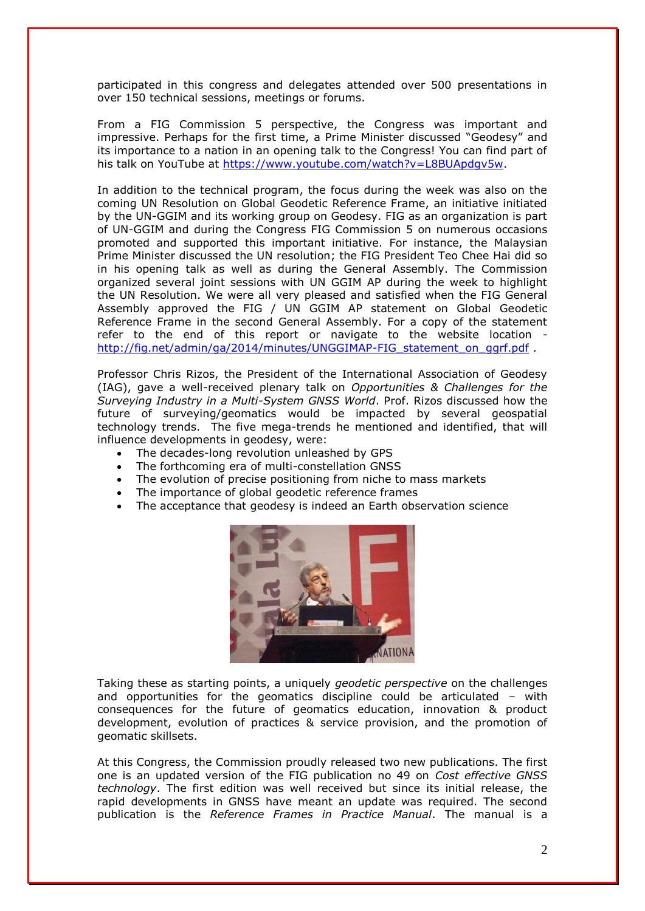participated in this congress and delegates attended over 500 presentations in over 150 technical sessions, meetings or forums.

From a FIG Commission 5 perspective, the Congress was important and impressive. Perhaps for the first time, a Prime Minister discussed "Geodesy" and its importance to a nation in an opening talk to the Congress! You can find part of his talk on YouTube at [https://www.youtube.com/watch?v=L8BUApdgv5w.](https://www.youtube.com/watch?v=L8BUApdgv5w)

In addition to the technical program, the focus during the week was also on the coming UN Resolution on Global Geodetic Reference Frame, an initiative initiated by the UN-GGIM and its working group on Geodesy. FIG as an organization is part of UN-GGIM and during the Congress FIG Commission 5 on numerous occasions promoted and supported this important initiative. For instance, the Malaysian Prime Minister discussed the UN resolution; the FIG President Teo Chee Hai did so in his opening talk as well as during the General Assembly. The Commission organized several joint sessions with UN GGIM AP during the week to highlight the UN Resolution. We were all very pleased and satisfied when the FIG General Assembly approved the FIG / UN GGIM AP statement on Global Geodetic Reference Frame in the second General Assembly. For a copy of the statement refer to the end of this report or navigate to the website location [http://fig.net/admin/ga/2014/minutes/UNGGIMAP-FIG\\_statement\\_on\\_ggrf.pdf](http://fig.net/admin/ga/2014/minutes/UNGGIMAP-FIG_statement_on_ggrf.pdf) .

Professor Chris Rizos, the President of the International Association of Geodesy (IAG), gave a well-received plenary talk on *Opportunities & Challenges for the Surveying Industry in a Multi-System GNSS World*. Prof. Rizos discussed how the future of surveying/geomatics would be impacted by several geospatial technology trends. The five mega-trends he mentioned and identified, that will influence developments in geodesy, were:

- The decades-long revolution unleashed by GPS
- The forthcoming era of multi-constellation GNSS
- The evolution of precise positioning from niche to mass markets
- The importance of global geodetic reference frames
- The acceptance that geodesy is indeed an Earth observation science



Taking these as starting points, a uniquely *geodetic perspective* on the challenges and opportunities for the geomatics discipline could be articulated – with consequences for the future of geomatics education, innovation & product development, evolution of practices & service provision, and the promotion of geomatic skillsets.

At this Congress, the Commission proudly released two new publications. The first one is an updated version of the FIG publication no 49 on *Cost effective GNSS technology*. The first edition was well received but since its initial release, the rapid developments in GNSS have meant an update was required. The second publication is the *Reference Frames in Practice Manual*. The manual is a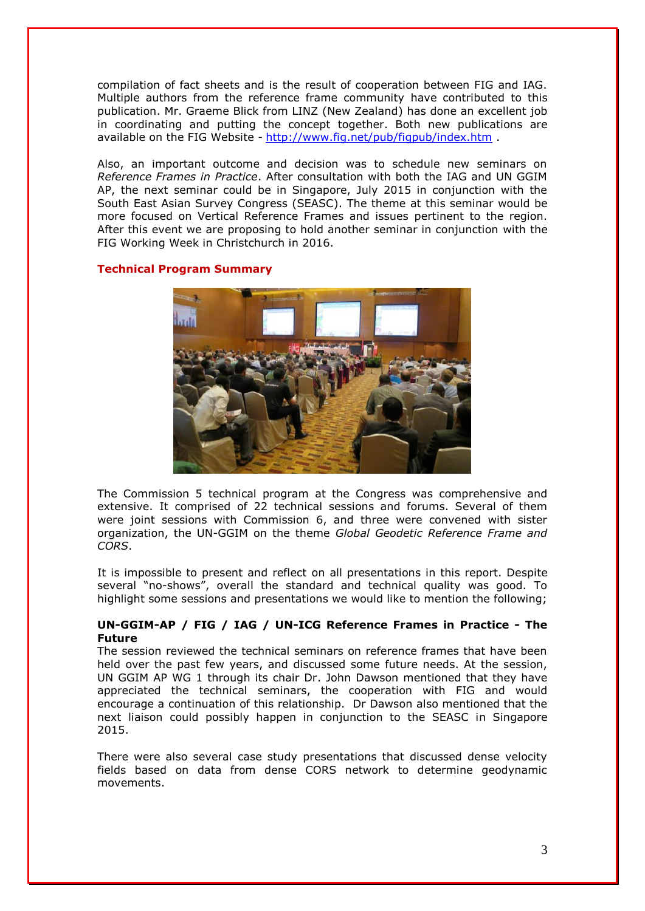compilation of fact sheets and is the result of cooperation between FIG and IAG. Multiple authors from the reference frame community have contributed to this publication. Mr. Graeme Blick from LINZ (New Zealand) has done an excellent job in coordinating and putting the concept together. Both new publications are available on the FIG Website - <http://www.fig.net/pub/figpub/index.htm>

Also, an important outcome and decision was to schedule new seminars on *Reference Frames in Practice*. After consultation with both the IAG and UN GGIM AP, the next seminar could be in Singapore, July 2015 in conjunction with the South East Asian Survey Congress (SEASC). The theme at this seminar would be more focused on Vertical Reference Frames and issues pertinent to the region. After this event we are proposing to hold another seminar in conjunction with the FIG Working Week in Christchurch in 2016.

### **Technical Program Summary**



The Commission 5 technical program at the Congress was comprehensive and extensive. It comprised of 22 technical sessions and forums. Several of them were joint sessions with Commission 6, and three were convened with sister organization, the UN-GGIM on the theme *Global Geodetic Reference Frame and CORS*.

It is impossible to present and reflect on all presentations in this report. Despite several "no-shows", overall the standard and technical quality was good. To highlight some sessions and presentations we would like to mention the following;

## **UN-GGIM-AP / FIG / IAG / UN-ICG Reference Frames in Practice - The Future**

The session reviewed the technical seminars on reference frames that have been held over the past few years, and discussed some future needs. At the session, UN GGIM AP WG 1 through its chair Dr. John Dawson mentioned that they have appreciated the technical seminars, the cooperation with FIG and would encourage a continuation of this relationship. Dr Dawson also mentioned that the next liaison could possibly happen in conjunction to the SEASC in Singapore 2015.

There were also several case study presentations that discussed dense velocity fields based on data from dense CORS network to determine geodynamic movements.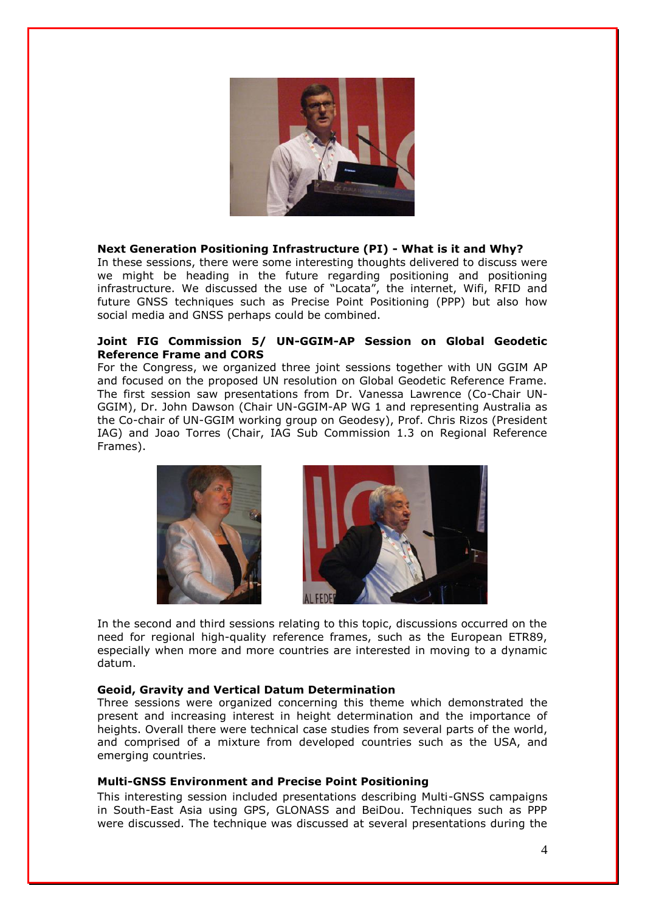

## **Next Generation Positioning Infrastructure (PI) - What is it and Why?**

In these sessions, there were some interesting thoughts delivered to discuss were we might be heading in the future regarding positioning and positioning infrastructure. We discussed the use of "Locata", the internet, Wifi, RFID and future GNSS techniques such as Precise Point Positioning (PPP) but also how social media and GNSS perhaps could be combined.

### **Joint FIG Commission 5/ UN-GGIM-AP Session on Global Geodetic Reference Frame and CORS**

For the Congress, we organized three joint sessions together with UN GGIM AP and focused on the proposed UN resolution on Global Geodetic Reference Frame. The first session saw presentations from Dr. Vanessa Lawrence (Co-Chair UN-GGIM), Dr. John Dawson (Chair UN-GGIM-AP WG 1 and representing Australia as the Co-chair of UN-GGIM working group on Geodesy), Prof. Chris Rizos (President IAG) and Joao Torres (Chair, IAG Sub Commission 1.3 on Regional Reference Frames).





In the second and third sessions relating to this topic, discussions occurred on the need for regional high-quality reference frames, such as the European ETR89, especially when more and more countries are interested in moving to a dynamic datum.

#### **Geoid, Gravity and Vertical Datum Determination**

Three sessions were organized concerning this theme which demonstrated the present and increasing interest in height determination and the importance of heights. Overall there were technical case studies from several parts of the world, and comprised of a mixture from developed countries such as the USA, and emerging countries.

#### **Multi-GNSS Environment and Precise Point Positioning**

This interesting session included presentations describing Multi-GNSS campaigns in South-East Asia using GPS, GLONASS and BeiDou. Techniques such as PPP were discussed. The technique was discussed at several presentations during the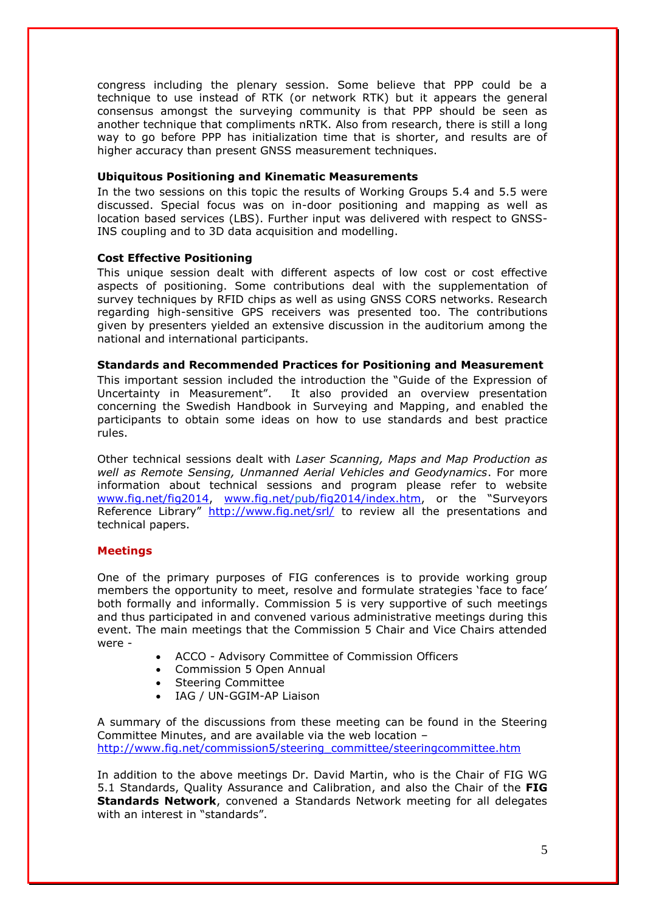congress including the plenary session. Some believe that PPP could be a technique to use instead of RTK (or network RTK) but it appears the general consensus amongst the surveying community is that PPP should be seen as another technique that compliments nRTK. Also from research, there is still a long way to go before PPP has initialization time that is shorter, and results are of higher accuracy than present GNSS measurement techniques.

### **Ubiquitous Positioning and Kinematic Measurements**

In the two sessions on this topic the results of Working Groups 5.4 and 5.5 were discussed. Special focus was on in-door positioning and mapping as well as location based services (LBS). Further input was delivered with respect to GNSS-INS coupling and to 3D data acquisition and modelling.

### **Cost Effective Positioning**

This unique session dealt with different aspects of low cost or cost effective aspects of positioning. Some contributions deal with the supplementation of survey techniques by RFID chips as well as using GNSS CORS networks. Research regarding high-sensitive GPS receivers was presented too. The contributions given by presenters yielded an extensive discussion in the auditorium among the national and international participants.

#### **Standards and Recommended Practices for Positioning and Measurement**

This important session included the introduction the "Guide of the Expression of Uncertainty in Measurement". It also provided an overview presentation concerning the Swedish Handbook in Surveying and Mapping, and enabled the participants to obtain some ideas on how to use standards and best practice rules.

Other technical sessions dealt with *Laser Scanning, Maps and Map Production as well as Remote Sensing, Unmanned Aerial Vehicles and Geodynamics*. For more information about technical sessions and program please refer to website [www.fig.net/fig2014,](http://www.fig.net/fig2014) [www.fig.net/pub/fig2014/index.htm](http://www.fig.net/pub/fig2014/index.htm), or the "Surveyors Reference Library" <http://www.fig.net/srl/> to review all the presentations and technical papers.

## **Meetings**

One of the primary purposes of FIG conferences is to provide working group members the opportunity to meet, resolve and formulate strategies 'face to face' both formally and informally. Commission 5 is very supportive of such meetings and thus participated in and convened various administrative meetings during this event. The main meetings that the Commission 5 Chair and Vice Chairs attended were -

- ACCO Advisory Committee of Commission Officers
- Commission 5 Open Annual
- Steering Committee
- IAG / UN-GGIM-AP Liaison

A summary of the discussions from these meeting can be found in the Steering Committee Minutes, and are available via the web location – [http://www.fig.net/commission5/steering\\_committee/steeringcommittee.htm](http://www.fig.net/commission5/steering_committee/steeringcommittee.htm)

In addition to the above meetings Dr. David Martin, who is the Chair of FIG WG 5.1 Standards, Quality Assurance and Calibration, and also the Chair of the **FIG Standards Network**, convened a Standards Network meeting for all delegates with an interest in "standards".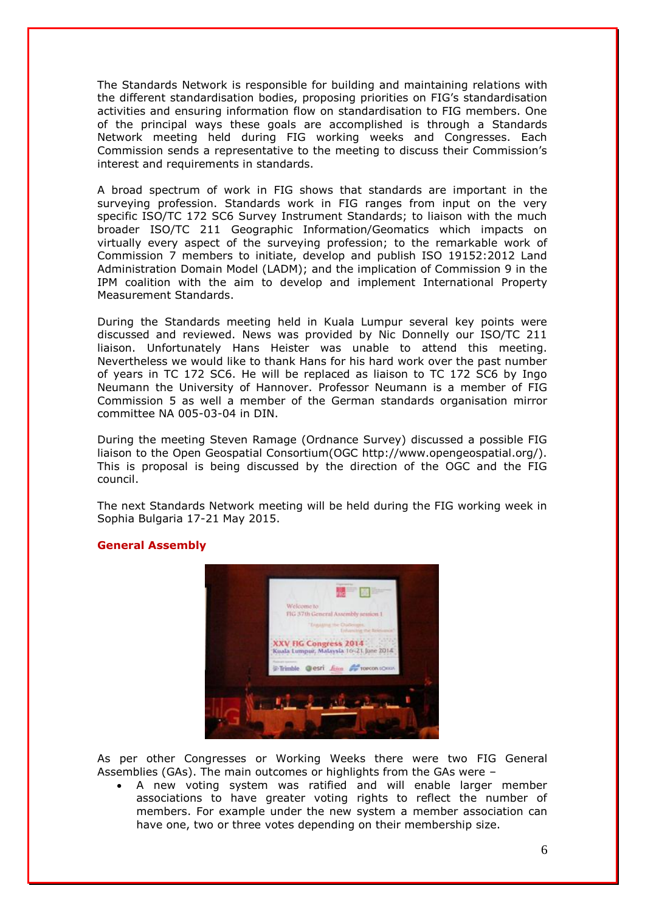The Standards Network is responsible for building and maintaining relations with the different standardisation bodies, proposing priorities on FIG's standardisation activities and ensuring information flow on standardisation to FIG members. One of the principal ways these goals are accomplished is through a Standards Network meeting held during FIG working weeks and Congresses. Each Commission sends a representative to the meeting to discuss their Commission's interest and requirements in standards.

A broad spectrum of work in FIG shows that standards are important in the surveying profession. Standards work in FIG ranges from input on the very specific ISO/TC 172 SC6 Survey Instrument Standards; to liaison with the much broader ISO/TC 211 Geographic Information/Geomatics which impacts on virtually every aspect of the surveying profession; to the remarkable work of Commission 7 members to initiate, develop and publish ISO 19152:2012 Land Administration Domain Model (LADM); and the implication of Commission 9 in the IPM coalition with the aim to develop and implement International Property Measurement Standards.

During the Standards meeting held in Kuala Lumpur several key points were discussed and reviewed. News was provided by Nic Donnelly our ISO/TC 211 liaison. Unfortunately Hans Heister was unable to attend this meeting. Nevertheless we would like to thank Hans for his hard work over the past number of years in TC 172 SC6. He will be replaced as liaison to TC 172 SC6 by Ingo Neumann the University of Hannover. Professor Neumann is a member of FIG Commission 5 as well a member of the German standards organisation mirror committee NA 005-03-04 in DIN.

During the meeting Steven Ramage (Ordnance Survey) discussed a possible FIG liaison to the Open Geospatial Consortium(OGC http://www.opengeospatial.org/). This is proposal is being discussed by the direction of the OGC and the FIG council.

The next Standards Network meeting will be held during the FIG working week in Sophia Bulgaria 17-21 May 2015.

#### **General Assembly**



As per other Congresses or Working Weeks there were two FIG General Assemblies (GAs). The main outcomes or highlights from the GAs were –

 A new voting system was ratified and will enable larger member associations to have greater voting rights to reflect the number of members. For example under the new system a member association can have one, two or three votes depending on their membership size.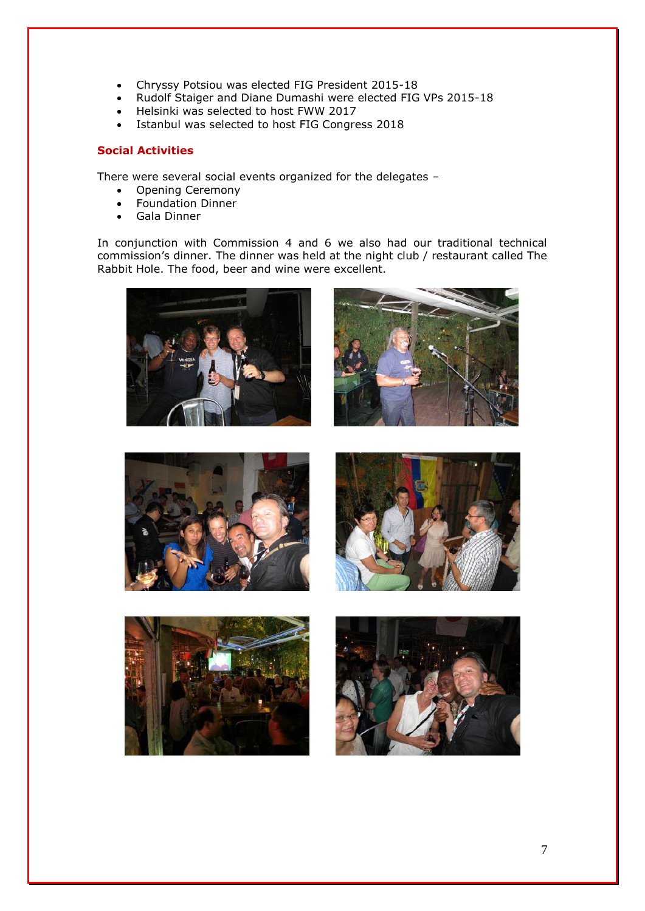- Chryssy Potsiou was elected FIG President 2015-18
- Rudolf Staiger and Diane Dumashi were elected FIG VPs 2015-18
- Helsinki was selected to host FWW 2017
- Istanbul was selected to host FIG Congress 2018

## **Social Activities**

There were several social events organized for the delegates –

- Opening Ceremony
- Foundation Dinner
- Gala Dinner

In conjunction with Commission 4 and 6 we also had our traditional technical commission's dinner. The dinner was held at the night club / restaurant called The Rabbit Hole. The food, beer and wine were excellent.











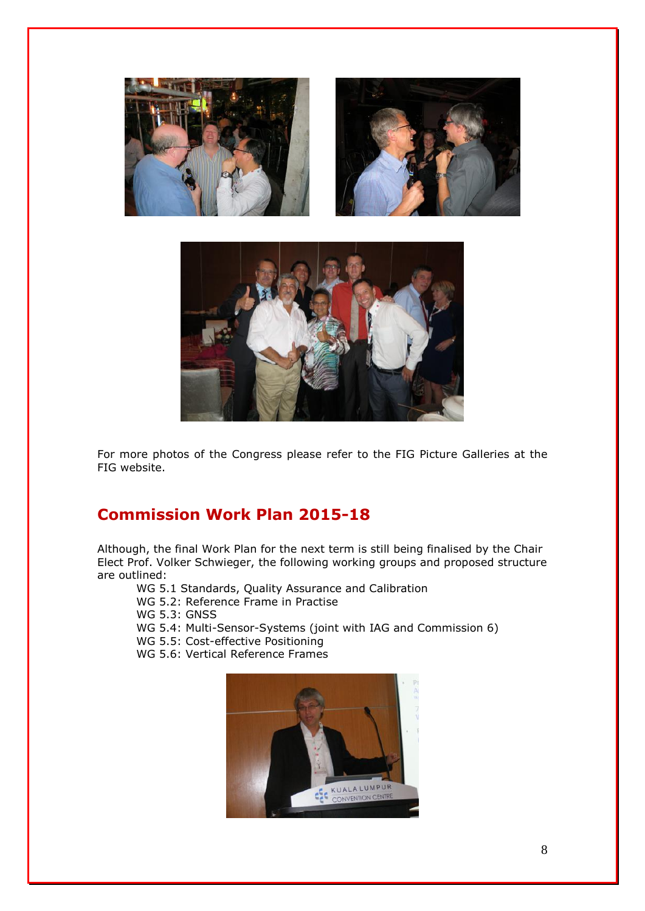

For more photos of the Congress please refer to the FIG Picture Galleries at the FIG website.

# **Commission Work Plan 2015-18**

Although, the final Work Plan for the next term is still being finalised by the Chair Elect Prof. Volker Schwieger, the following working groups and proposed structure are outlined:

WG 5.1 Standards, Quality Assurance and Calibration

WG 5.2: Reference Frame in Practise

WG 5.3: GNSS

WG 5.4: Multi-Sensor-Systems (joint with IAG and Commission 6)

WG 5.5: Cost-effective Positioning

WG 5.6: Vertical Reference Frames

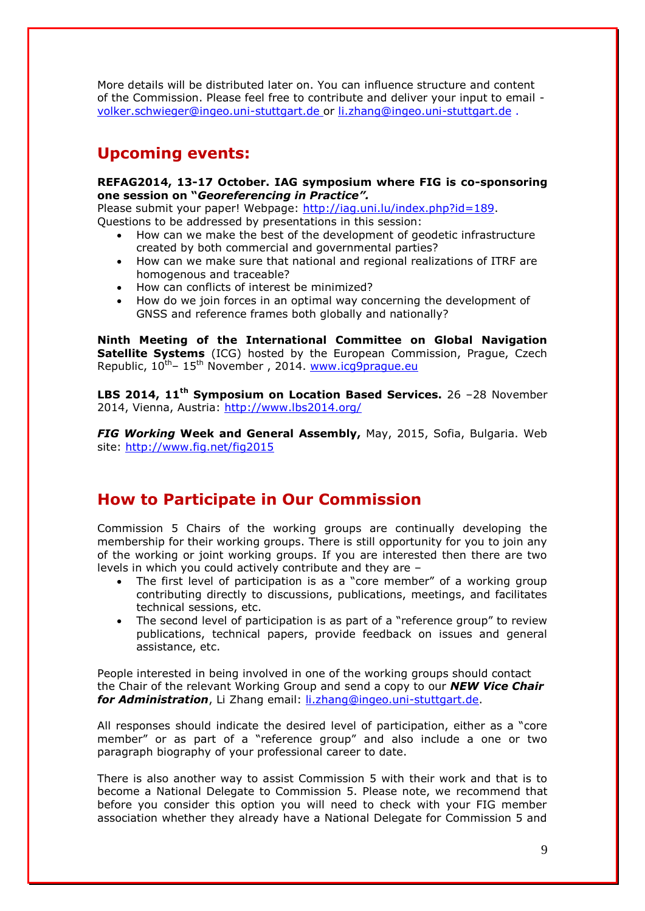More details will be distributed later on. You can influence structure and content of the Commission. Please feel free to contribute and deliver your input to email [volker.schwieger@ingeo.uni-stuttgart.de](mailto:volker.schwieger@ingeo.uni-stuttgart.de) or [li.zhang@ingeo.uni-stuttgart.de](mailto:li.zhang@ingeo.uni-stuttgart.de) .

# **Upcoming events:**

### **REFAG2014, 13-17 October. IAG symposium where FIG is co-sponsoring one session on "***Georeferencing in Practice".*

Please submit your paper! Webpage: [http://iag.uni.lu/index.php?id=189.](http://iag.uni.lu/index.php?id=189) Questions to be addressed by presentations in this session:

- How can we make the best of the development of geodetic infrastructure created by both commercial and governmental parties?
- How can we make sure that national and regional realizations of ITRF are homogenous and traceable?
- How can conflicts of interest be minimized?
- How do we join forces in an optimal way concerning the development of GNSS and reference frames both globally and nationally?

**Ninth Meeting of the International Committee on Global Navigation Satellite Systems** (ICG) hosted by the European Commission, Prague, Czech Republic,  $10^{th}$ –  $15^{th}$  November, 2014. [www.icg9prague.eu](http://www.icg9prague.eu/)

**LBS 2014, 11th Symposium on Location Based Services.** 26 –28 November 2014, Vienna, Austria:<http://www.lbs2014.org/>

*FIG Working* **Week and General Assembly,** May, 2015, Sofia, Bulgaria. Web site:<http://www.fig.net/fig2015>

# **How to Participate in Our Commission**

Commission 5 Chairs of the working groups are continually developing the membership for their working groups. There is still opportunity for you to join any of the working or joint working groups. If you are interested then there are two levels in which you could actively contribute and they are –

- The first level of participation is as a "core member" of a working group contributing directly to discussions, publications, meetings, and facilitates technical sessions, etc.
- The second level of participation is as part of a "reference group" to review publications, technical papers, provide feedback on issues and general assistance, etc.

People interested in being involved in one of the working groups should contact the Chair of the relevant Working Group and send a copy to our *NEW Vice Chair*  for **Administration**, Li Zhang email: *li.zhang@ingeo.uni-stuttgart.de.* 

All responses should indicate the desired level of participation, either as a "core member" or as part of a "reference group" and also include a one or two paragraph biography of your professional career to date.

There is also another way to assist Commission 5 with their work and that is to become a National Delegate to Commission 5. Please note, we recommend that before you consider this option you will need to check with your FIG member association whether they already have a National Delegate for Commission 5 and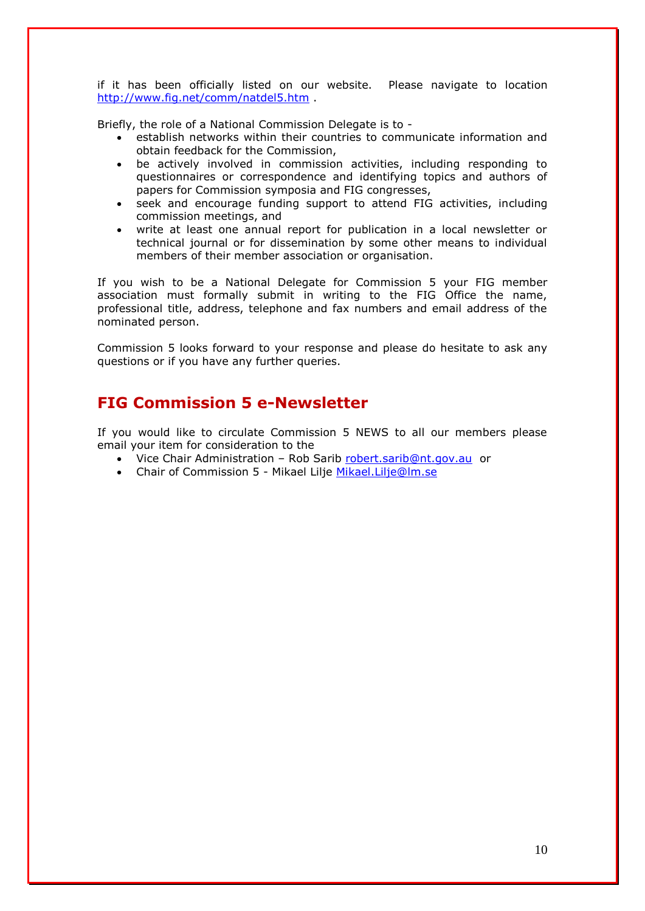if it has been officially listed on our website. Please navigate to location <http://www.fig.net/comm/natdel5.htm> .

Briefly, the role of a National Commission Delegate is to -

- establish networks within their countries to communicate information and obtain feedback for the Commission,
- be actively involved in commission activities, including responding to questionnaires or correspondence and identifying topics and authors of papers for Commission symposia and FIG congresses,
- seek and encourage funding support to attend FIG activities, including commission meetings, and
- write at least one annual report for publication in a local newsletter or technical journal or for dissemination by some other means to individual members of their member association or organisation.

If you wish to be a National Delegate for Commission 5 your FIG member association must formally submit in writing to the FIG Office the name, professional title, address, telephone and fax numbers and email address of the nominated person.

Commission 5 looks forward to your response and please do hesitate to ask any questions or if you have any further queries.

# **FIG Commission 5 e-Newsletter**

If you would like to circulate Commission 5 NEWS to all our members please email your item for consideration to the

- Vice Chair Administration Rob Sarib [robert.sarib@nt.gov.au](mailto:robert.sarib@nt.gov.au) or
- Chair of Commission 5 Mikael Lilje [Mikael.Lilje@lm.se](mailto:Mikael.Lilje@lm.se)